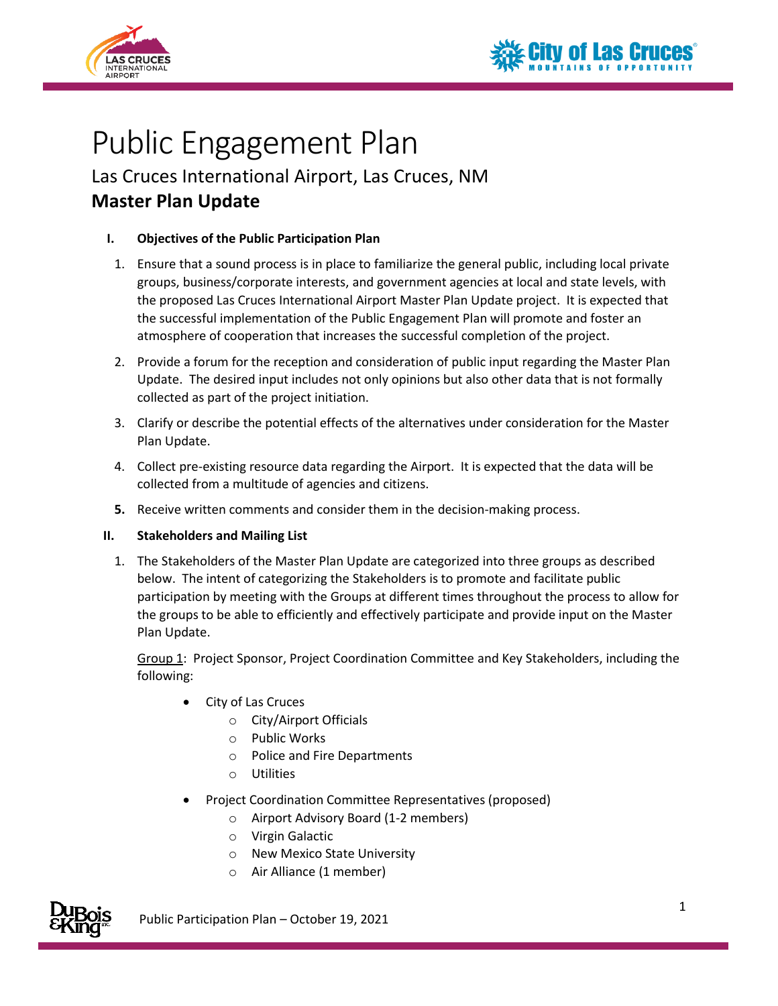



# Public Engagement Plan

Las Cruces International Airport, Las Cruces, NM **Master Plan Update**

## **I. Objectives of the Public Participation Plan**

- 1. Ensure that a sound process is in place to familiarize the general public, including local private groups, business/corporate interests, and government agencies at local and state levels, with the proposed Las Cruces International Airport Master Plan Update project. It is expected that the successful implementation of the Public Engagement Plan will promote and foster an atmosphere of cooperation that increases the successful completion of the project.
- 2. Provide a forum for the reception and consideration of public input regarding the Master Plan Update. The desired input includes not only opinions but also other data that is not formally collected as part of the project initiation.
- 3. Clarify or describe the potential effects of the alternatives under consideration for the Master Plan Update.
- 4. Collect pre-existing resource data regarding the Airport. It is expected that the data will be collected from a multitude of agencies and citizens.
- **5.** Receive written comments and consider them in the decision-making process.

## **II. Stakeholders and Mailing List**

1. The Stakeholders of the Master Plan Update are categorized into three groups as described below. The intent of categorizing the Stakeholders is to promote and facilitate public participation by meeting with the Groups at different times throughout the process to allow for the groups to be able to efficiently and effectively participate and provide input on the Master Plan Update.

Group 1: Project Sponsor, Project Coordination Committee and Key Stakeholders, including the following:

- City of Las Cruces
	- o City/Airport Officials
	- o Public Works
	- o Police and Fire Departments
	- o Utilities
- Project Coordination Committee Representatives (proposed)
	- o Airport Advisory Board (1-2 members)
	- o Virgin Galactic
	- o New Mexico State University
	- o Air Alliance (1 member)



Public Participation Plan – October 19, 2021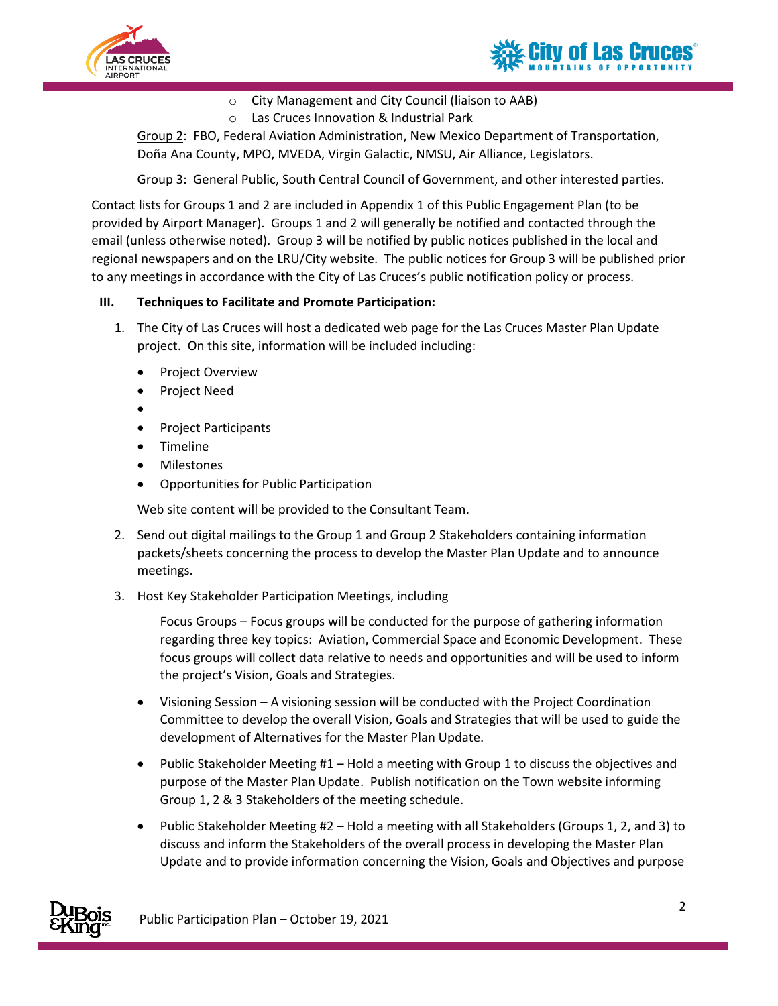



## o City Management and City Council (liaison to AAB)

o Las Cruces Innovation & Industrial Park

Group 2: FBO, Federal Aviation Administration, New Mexico Department of Transportation, Doña Ana County, MPO, MVEDA, Virgin Galactic, NMSU, Air Alliance, Legislators.

Group 3: General Public, South Central Council of Government, and other interested parties.

Contact lists for Groups 1 and 2 are included in Appendix 1 of this Public Engagement Plan (to be provided by Airport Manager). Groups 1 and 2 will generally be notified and contacted through the email (unless otherwise noted). Group 3 will be notified by public notices published in the local and regional newspapers and on the LRU/City website. The public notices for Group 3 will be published prior to any meetings in accordance with the City of Las Cruces's public notification policy or process.

#### **III. Techniques to Facilitate and Promote Participation:**

- 1. The City of Las Cruces will host a dedicated web page for the Las Cruces Master Plan Update project. On this site, information will be included including:
	- Project Overview
	- Project Need
	- •
	- Project Participants
	- Timeline
	- Milestones
	- Opportunities for Public Participation

Web site content will be provided to the Consultant Team.

- 2. Send out digital mailings to the Group 1 and Group 2 Stakeholders containing information packets/sheets concerning the process to develop the Master Plan Update and to announce meetings.
- 3. Host Key Stakeholder Participation Meetings, including

Focus Groups – Focus groups will be conducted for the purpose of gathering information regarding three key topics: Aviation, Commercial Space and Economic Development. These focus groups will collect data relative to needs and opportunities and will be used to inform the project's Vision, Goals and Strategies.

- Visioning Session A visioning session will be conducted with the Project Coordination Committee to develop the overall Vision, Goals and Strategies that will be used to guide the development of Alternatives for the Master Plan Update.
- Public Stakeholder Meeting #1 Hold a meeting with Group 1 to discuss the objectives and purpose of the Master Plan Update. Publish notification on the Town website informing Group 1, 2 & 3 Stakeholders of the meeting schedule.
- Public Stakeholder Meeting #2 Hold a meeting with all Stakeholders (Groups 1, 2, and 3) to discuss and inform the Stakeholders of the overall process in developing the Master Plan Update and to provide information concerning the Vision, Goals and Objectives and purpose

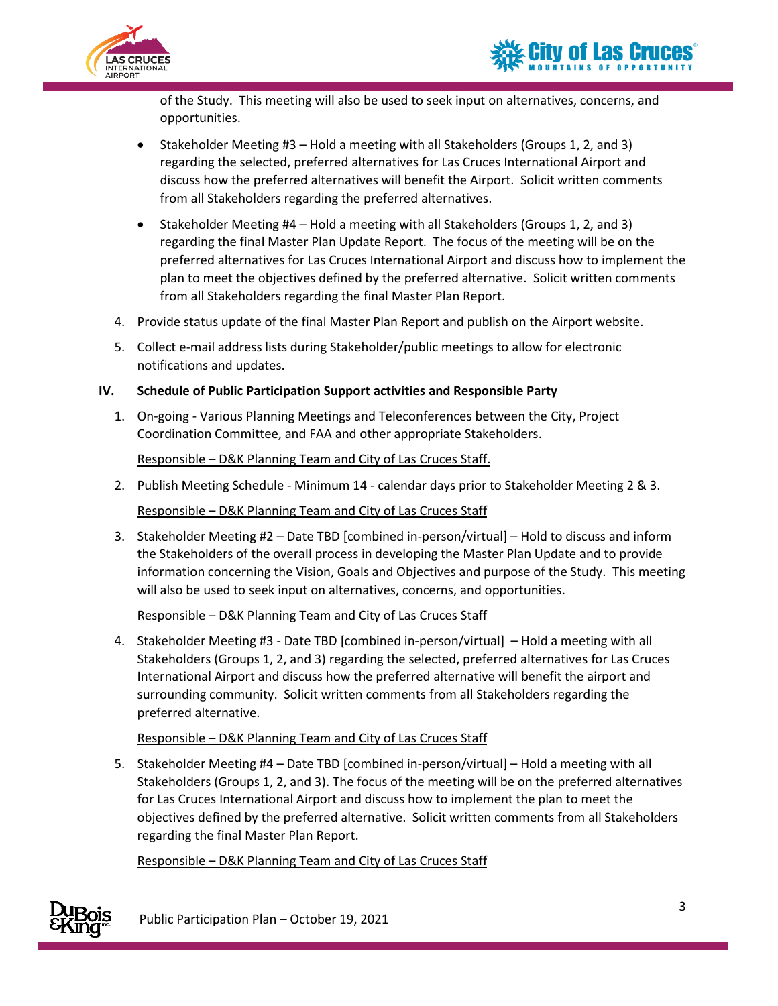

of the Study. This meeting will also be used to seek input on alternatives, concerns, and opportunities.

- Stakeholder Meeting #3 Hold a meeting with all Stakeholders (Groups 1, 2, and 3) regarding the selected, preferred alternatives for Las Cruces International Airport and discuss how the preferred alternatives will benefit the Airport. Solicit written comments from all Stakeholders regarding the preferred alternatives.
- Stakeholder Meeting #4 Hold a meeting with all Stakeholders (Groups 1, 2, and 3) regarding the final Master Plan Update Report. The focus of the meeting will be on the preferred alternatives for Las Cruces International Airport and discuss how to implement the plan to meet the objectives defined by the preferred alternative. Solicit written comments from all Stakeholders regarding the final Master Plan Report.
- 4. Provide status update of the final Master Plan Report and publish on the Airport website.
- 5. Collect e-mail address lists during Stakeholder/public meetings to allow for electronic notifications and updates.

## **IV. Schedule of Public Participation Support activities and Responsible Party**

1. On-going - Various Planning Meetings and Teleconferences between the City, Project Coordination Committee, and FAA and other appropriate Stakeholders.

## Responsible – D&K Planning Team and City of Las Cruces Staff.

2. Publish Meeting Schedule - Minimum 14 - calendar days prior to Stakeholder Meeting 2 & 3.

Responsible – D&K Planning Team and City of Las Cruces Staff

3. Stakeholder Meeting #2 – Date TBD [combined in-person/virtual] – Hold to discuss and inform the Stakeholders of the overall process in developing the Master Plan Update and to provide information concerning the Vision, Goals and Objectives and purpose of the Study. This meeting will also be used to seek input on alternatives, concerns, and opportunities.

#### Responsible – D&K Planning Team and City of Las Cruces Staff

4. Stakeholder Meeting #3 - Date TBD [combined in-person/virtual] – Hold a meeting with all Stakeholders (Groups 1, 2, and 3) regarding the selected, preferred alternatives for Las Cruces International Airport and discuss how the preferred alternative will benefit the airport and surrounding community. Solicit written comments from all Stakeholders regarding the preferred alternative.

#### Responsible – D&K Planning Team and City of Las Cruces Staff

5. Stakeholder Meeting #4 – Date TBD [combined in-person/virtual] – Hold a meeting with all Stakeholders (Groups 1, 2, and 3). The focus of the meeting will be on the preferred alternatives for Las Cruces International Airport and discuss how to implement the plan to meet the objectives defined by the preferred alternative. Solicit written comments from all Stakeholders regarding the final Master Plan Report.

Responsible – D&K Planning Team and City of Las Cruces Staff